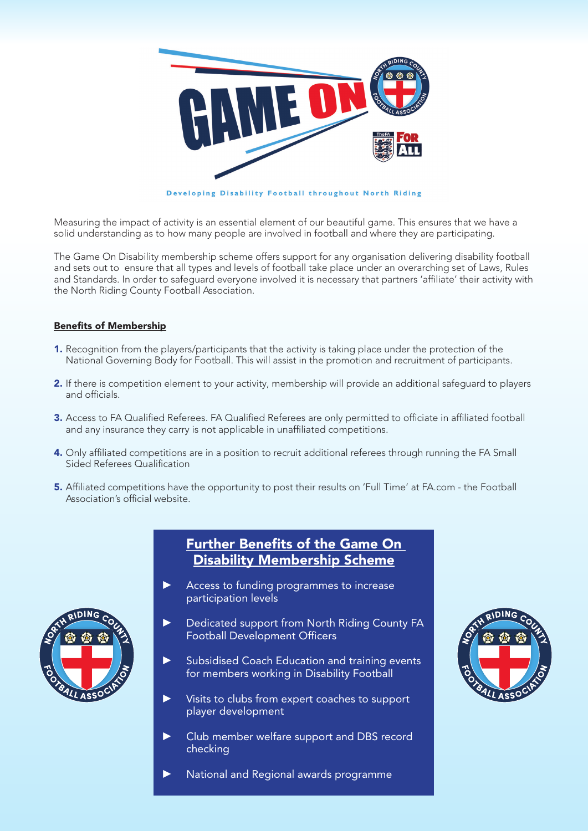

Measuring the impact of activity is an essential element of our beautiful game. This ensures that we have a solid understanding as to how many people are involved in football and where they are participating.

The Game On Disability membership scheme offers support for any organisation delivering disability football and sets out to ensure that all types and levels of football take place under an overarching set of Laws, Rules and Standards. In order to safeguard everyone involved it is necessary that partners 'affiliate' their activity with the North Riding County Football Association.

### Benefits of Membership

- **1.** Recognition from the players/participants that the activity is taking place under the protection of the National Governing Body for Football. This will assist in the promotion and recruitment of participants.
- 2. If there is competition element to your activity, membership will provide an additional safeguard to players and officials.
- 3. Access to FA Qualified Referees. FA Qualified Referees are only permitted to officiate in affiliated football and any insurance they carry is not applicable in unaffiliated competitions.
- 4. Only affiliated competitions are in a position to recruit additional referees through running the FA Small Sided Referees Qualification
- 5. Affiliated competitions have the opportunity to post their results on 'Full Time' at FA.com the Football Association's official website.



## Further Benefits of the Game On Disability Membership Scheme

- Access to funding programmes to increase participation levels
- Dedicated support from North Riding County FA Football Development Officers
- Subsidised Coach Education and training events for members working in Disability Football
- Visits to clubs from expert coaches to support player development
- ▶ Club member welfare support and DBS record checking
- National and Regional awards programme